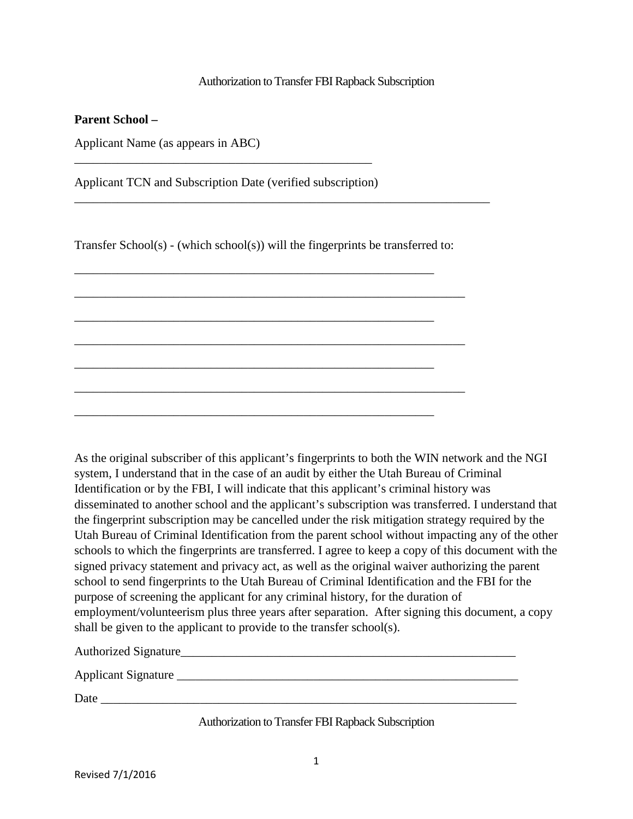## Authorization to Transfer FBI Rapback Subscription

## **Parent School –**

Applicant Name (as appears in ABC)

Applicant TCN and Subscription Date (verified subscription)

\_\_\_\_\_\_\_\_\_\_\_\_\_\_\_\_\_\_\_\_\_\_\_\_\_\_\_\_\_\_\_\_\_\_\_\_\_\_\_\_\_\_\_\_\_\_\_\_

Transfer School(s) - (which school(s)) will the fingerprints be transferred to:

\_\_\_\_\_\_\_\_\_\_\_\_\_\_\_\_\_\_\_\_\_\_\_\_\_\_\_\_\_\_\_\_\_\_\_\_\_\_\_\_\_\_\_\_\_\_\_\_\_\_\_\_\_\_\_\_\_\_\_\_\_\_\_

\_\_\_\_\_\_\_\_\_\_\_\_\_\_\_\_\_\_\_\_\_\_\_\_\_\_\_\_\_\_\_\_\_\_\_\_\_\_\_\_\_\_\_\_\_\_\_\_\_\_\_\_\_\_\_\_\_\_\_\_\_\_\_

\_\_\_\_\_\_\_\_\_\_\_\_\_\_\_\_\_\_\_\_\_\_\_\_\_\_\_\_\_\_\_\_\_\_\_\_\_\_\_\_\_\_\_\_\_\_\_\_\_\_\_\_\_\_\_\_\_\_\_\_\_\_\_

\_\_\_\_\_\_\_\_\_\_\_\_\_\_\_\_\_\_\_\_\_\_\_\_\_\_\_\_\_\_\_\_\_\_\_\_\_\_\_\_\_\_\_\_\_\_\_\_\_\_\_\_\_\_\_\_\_\_

\_\_\_\_\_\_\_\_\_\_\_\_\_\_\_\_\_\_\_\_\_\_\_\_\_\_\_\_\_\_\_\_\_\_\_\_\_\_\_\_\_\_\_\_\_\_\_\_\_\_\_\_\_\_\_\_\_\_

\_\_\_\_\_\_\_\_\_\_\_\_\_\_\_\_\_\_\_\_\_\_\_\_\_\_\_\_\_\_\_\_\_\_\_\_\_\_\_\_\_\_\_\_\_\_\_\_\_\_\_\_\_\_\_\_\_\_

\_\_\_\_\_\_\_\_\_\_\_\_\_\_\_\_\_\_\_\_\_\_\_\_\_\_\_\_\_\_\_\_\_\_\_\_\_\_\_\_\_\_\_\_\_\_\_\_\_\_\_\_\_\_\_\_\_\_

\_\_\_\_\_\_\_\_\_\_\_\_\_\_\_\_\_\_\_\_\_\_\_\_\_\_\_\_\_\_\_\_\_\_\_\_\_\_\_\_\_\_\_\_\_\_\_\_\_\_\_\_\_\_\_\_\_\_\_\_\_\_\_\_\_\_\_

As the original subscriber of this applicant's fingerprints to both the WIN network and the NGI system, I understand that in the case of an audit by either the Utah Bureau of Criminal Identification or by the FBI, I will indicate that this applicant's criminal history was disseminated to another school and the applicant's subscription was transferred. I understand that the fingerprint subscription may be cancelled under the risk mitigation strategy required by the Utah Bureau of Criminal Identification from the parent school without impacting any of the other schools to which the fingerprints are transferred. I agree to keep a copy of this document with the signed privacy statement and privacy act, as well as the original waiver authorizing the parent school to send fingerprints to the Utah Bureau of Criminal Identification and the FBI for the purpose of screening the applicant for any criminal history, for the duration of employment/volunteerism plus three years after separation. After signing this document, a copy shall be given to the applicant to provide to the transfer school(s).

Authorized Signature

Applicant Signature \_\_\_\_\_\_\_\_\_\_\_\_\_\_\_\_\_\_\_\_\_\_\_\_\_\_\_\_\_\_\_\_\_\_\_\_\_\_\_\_\_\_\_\_\_\_\_\_\_\_\_\_\_\_\_

Date \_\_\_\_\_\_\_\_\_\_\_\_\_\_\_\_\_\_\_\_\_\_\_\_\_\_\_\_\_\_\_\_\_\_\_\_\_\_\_\_\_\_\_\_\_\_\_\_\_\_\_\_\_\_\_\_\_\_\_\_\_\_\_\_\_\_\_

## Authorization to Transfer FBI Rapback Subscription